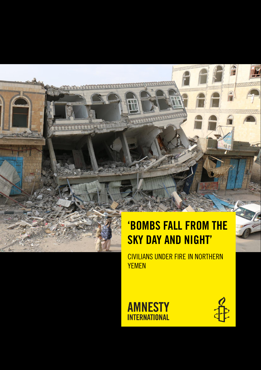## **'BOMBS FALL FROM THE SKY DAY AND NIGHT'**

CIVILIANS UNDER FIRE IN NORTHERN YEMEN

 $\frac{2}{1}$ 



**TAXABLE**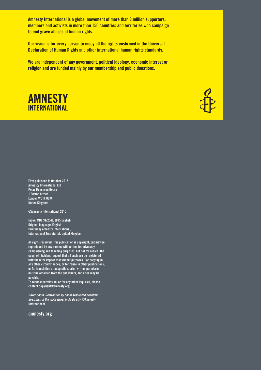**Amnesty International is a global movement of more than 3 million supporters, members and activists in more than 150 countries and territories who campaign to end grave abuses of human rights.**

**Our vision is for every person to enjoy all the rights enshrined in the Universal Declaration of Human Rights and other international human rights standards.**

**We are independent of any government, political ideology, economic interest or religion and are funded mainly by our membership and public donations.**





**First published in October 2015 Amnesty International Ltd Peter Benenson House 1 Easton Street London WC1X 0DW United Kingdom**

**©Amnesty International 2015**

**Index: MDE 31/2548/2015 English Original language: English Printed by Amnesty International, International Secretariat, United Kingdom**

**All rights reserved. This publication is copyright, but may be reproduced by any method without fee for advocacy, campaigning and teaching purposes, but not for resale. The copyright holders request that all such use be registered with them for impact assessment purposes. For copying in any other circumstances, or for reuse in other publications, or for translation or adaptation, prior written permission must be obtained from the publishers, and a fee may be payable.**

**To request permission, or for any other inquiries, please contact copyright@amnesty.org**

*Cover photo: Destruction by Saudi Arabia-led coalition airstrikes of the main street in Sa'da city.* **©Amnesty International.**

**amnesty.org**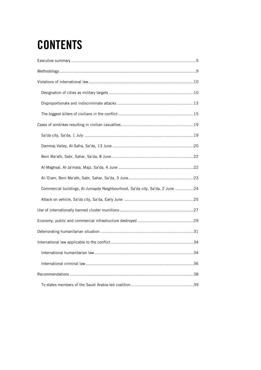# **CONTENTS**

| Commercial buildings, Al-Jumayda Neighbourhood, Sa'da city, Sa'da, 2 June 24 |  |
|------------------------------------------------------------------------------|--|
|                                                                              |  |
|                                                                              |  |
|                                                                              |  |
|                                                                              |  |
|                                                                              |  |
|                                                                              |  |
|                                                                              |  |
|                                                                              |  |
|                                                                              |  |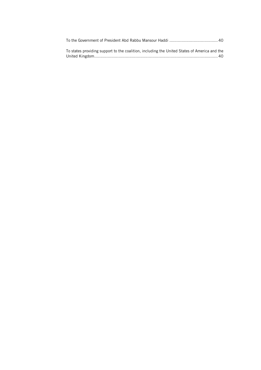|  |  |  | To the Government of President Abd Rabbu Mansour Haddi …………………………………… 40 |  |
|--|--|--|--------------------------------------------------------------------------|--|
|  |  |  |                                                                          |  |

| To states providing support to the coalition, including the United States of America and the |  |  |
|----------------------------------------------------------------------------------------------|--|--|
|                                                                                              |  |  |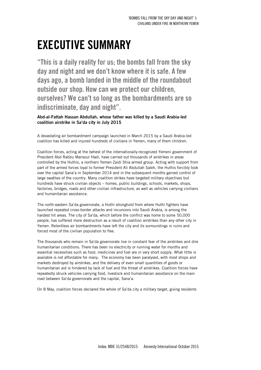## <span id="page-4-0"></span>**EXECUTIVE SUMMARY**

**"This is a daily reality for us; the bombs fall from the sky day and night and we don't know where it is safe. A few days ago, a bomb landed in the middle of the roundabout outside our shop. How can we protect our children, ourselves? We can't so long as the bombardments are so indiscriminate, day and night".** 

**Abd-al-Fattah Hassan Abdullah, whose father was killed by a Saudi Arabia-led coalition airstrike in Sa'da city in July 2015**

A devastating air bombardment campaign launched in March 2015 by a Saudi Arabia-led coalition has killed and injured hundreds of civilians in Yemen, many of them children.

Coalition forces, acting at the behest of the internationally-recognized Yemeni government of President Abd Rabbu Mansour Hadi, have carried out thousands of airstrikes in areas controlled by the Huthis, a northern Yemen Zaidi Shia armed group. Acting with support from part of the armed forces loyal to former President Ali Abdullah Saleh, the Huthis forcibly took over the capital Sana'a in September 2014 and in the subsequent months gained control of large swathes of the country. Many coalition strikes have targeted military objectives but hundreds have struck civilian objects – homes, public buildings, schools, markets, shops, factories, bridges, roads and other civilian infrastructure, as well as vehicles carrying civilians and humanitarian assistance.

The north-eastern Sa'da governorate, a Huthi stronghold from where Huthi fighters have launched repeated cross-border attacks and incursions into Saudi Arabia, is among the hardest hit areas. The city of Sa'da, which before the conflict was home to some 50,000 people, has suffered more destruction as a result of coalition airstrikes than any other city in Yemen. Relentless air bombardments have left the city and its surroundings in ruins and forced most of the civilian population to flee.

The thousands who remain in Sa'da governorate live in constant fear of the airstrikes and dire humanitarian conditions. There has been no electricity or running water for months and essential necessities such as food, medicines and fuel are in very short supply. What little is available is not affordable for many. The economy has been paralysed, with most shops and markets destroyed by airstrikes, and the delivery of even small quantities of goods or humanitarian aid is hindered by lack of fuel and the threat of airstrikes. Coalition forces have repeatedly struck vehicles carrying food, livestock and humanitarian assistance on the main road between Sa'da governorate and the capital, Sana'a.

On 8 May, coalition forces declared the whole of Sa'da city a military target, giving residents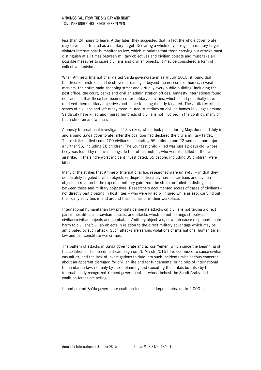less than 24 hours to leave. A day later, they suggested that in fact the whole governorate may have been treated as a military target. Declaring a whole city or region a military target violates international humanitarian law, which stipulates that those carrying out attacks must distinguish at all times between military objectives and civilian objects and must take all possible measures to spare civilians and civilian objects. It may be considered a form of collective punishment.

When Amnesty International visited Sa'da governorate in early July 2015, it found that hundreds of airstrikes had destroyed or damaged beyond repair scores of homes, several markets, the entire main shopping street and virtually every public building, including the post office, the court, banks and civilian administration offices. Amnesty International found no evidence that these had been used for military activities, which could potentially have rendered them military objectives and liable to being directly targeted. These attacks killed scores of civilians and left many more injured. Airstrikes on civilian homes in villages around Sa'da city have killed and injured hundreds of civilians not involved in the conflict, many of them children and women.

Amnesty International investigated 13 strikes, which took place during May, June and July in and around Sa'da governorate, after the coalition had declared the city a military target. These strikes killed some 100 civilians – including 55 children and 22 women – and injured a further 56, including 18 children. The youngest child killed was just 12 days old, whose body was found by relatives alongside that of his mother, who was also killed in the same airstrike. In the single worst incident investigated, 55 people, including 35 children, were killed.

Many of the strikes that Amnesty International has researched were unlawful – in that they deliberately targeted civilian objects or disproportionately harmed civilians and civilian objects in relation to the expected military gain from the strike, or failed to distinguish between these and military objectives. Researchers documented scores of cases of civilians – not directly participating in hostilities – who were killed or injured while asleep, carrying out their daily activities in and around their homes or in their workplace.

International humanitarian law prohibits deliberate attacks on civilians not taking a direct part in hostilities and civilian objects, and attacks which do not distinguish between civilians/civilian objects and combatants/military objectives, or which cause disproportionate harm to civilians/civilian objects in relation to the direct military advantage which may be anticipated by such attack. Such attacks are serious violations of international humanitarian law and can constitute war crimes.

The pattern of attacks in Sa'da governorate and across Yemen, which since the beginning of the coalition air bombardment campaign on 25 March 2015 have continued to cause civilian casualties, and the lack of investigations to date into such incidents raise serious concerns about an apparent disregard for civilian life and for fundamental principles of international humanitarian law, not only by those planning and executing the strikes but also by the internationally recognized Yemeni government, at whose behest the Saudi Arabia-led coalition forces are acting.

In and around Sa'da governorate coalition forces used large bombs, up to 2,000 lbs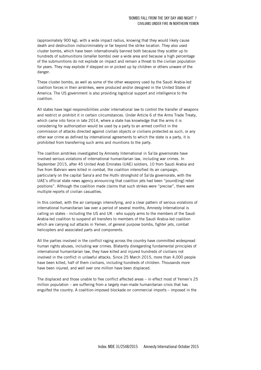(approximately 900 kg), with a wide impact radius, knowing that they would likely cause death and destruction indiscriminately or far beyond the strike location. They also used cluster bombs, which have been internationally banned both because they scatter up to hundreds of submunitions (smaller bombs) over a wide area and because a high percentage of the submunitions do not explode on impact and remain a threat to the civilian population for years. They may explode if stepped on or picked up by children or others unware of the danger.

These cluster bombs, as well as some of the other weaponry used by the Saudi Arabia-led coalition forces in their airstrikes, were produced and/or designed in the United States of America. The US government is also providing logistical support and intelligence to the coalition.

All states have legal responsibilities under international law to control the transfer of weapons and restrict or prohibit it in certain circumstances. Under Article 6 of the Arms Trade Treaty, which came into force in late 2014, where a state has knowledge that the arms it is considering for authorization would be used by a party to an armed conflict in the commission of attacks directed against civilian objects or civilians protected as such, or any other war crime as defined by international agreements to which the state is a party, it is prohibited from transferring such arms and munitions to the party.

The coalition airstrikes investigated by Amnesty International in Sa'da governorate have involved serious violations of international humanitarian law, including war crimes. In September 2015, after 45 United Arab Emirates (UAE) soldiers, 10 from Saudi Arabia and five from Bahrain were killed in combat, the coalition intensified its air campaign, particularly on the capital Sana'a and the Huthi stronghold of Sa'da governorate, with the UAE's official state news agency announcing that coalition jets had been "pound[ing] rebel positions". Although the coalition made claims that such strikes were "precise", there were multiple reports of civilian casualties.

In this context, with the air campaign intensifying, and a clear pattern of serious violations of international humanitarian law over a period of several months, Amnesty International is calling on states - including the US and UK - who supply arms to the members of the Saudi Arabia-led coalition to suspend all transfers to members of the Saudi Arabia-led coalition which are carrying out attacks in Yemen, of general purpose bombs, fighter jets, combat helicopters and associated parts and components.

All the parties involved in the conflict raging across the country have committed widespread human rights abuses, including war crimes. Blatantly disregarding fundamental principles of international humanitarian law, they have killed and injured hundreds of civilians not involved in the conflict in unlawful attacks. Since 25 March 2015, more than 4,000 people have been killed, half of them civilians, including hundreds of children. Thousands more have been injured, and well over one million have been displaced.

The displaced and those unable to flee conflict affected areas – in effect most of Yemen's 25 million population – are suffering from a largely man-made humanitarian crisis that has engulfed the country. A coalition-imposed blockade on commercial imports – imposed in the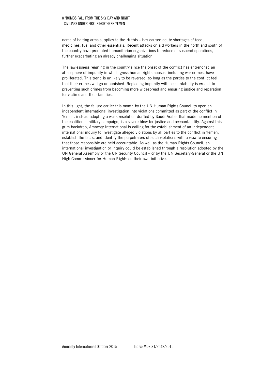name of halting arms supplies to the Huthis – has caused acute shortages of food, medicines, fuel and other essentials. Recent attacks on aid workers in the north and south of the country have prompted humanitarian organizations to reduce or suspend operations, further exacerbating an already challenging situation.

The lawlessness reigning in the country since the onset of the conflict has entrenched an atmosphere of impunity in which gross human rights abuses, including war crimes, have proliferated. This trend is unlikely to be reversed, so long as the parties to the conflict feel that their crimes will go unpunished. Replacing impunity with accountability is crucial to preventing such crimes from becoming more widespread and ensuring justice and reparation for victims and their families.

In this light, the failure earlier this month by the UN Human Rights Council to open an independent international investigation into violations committed as part of the conflict in Yemen, instead adopting a weak resolution drafted by Saudi Arabia that made no mention of the coalition's military campaign, is a severe blow for justice and accountability. Against this grim backdrop, Amnesty International is calling for the establishment of an independent international inquiry to investigate alleged violations by all parties to the conflict in Yemen, establish the facts, and identify the perpetrators of such violations with a view to ensuring that those responsible are held accountable. As well as the Human Rights Council, an international investigation or inquiry could be established through a resolution adopted by the UN General Assembly or the UN Security Council – or by the UN Secretary-General or the UN High Commissioner for Human Rights on their own initiative.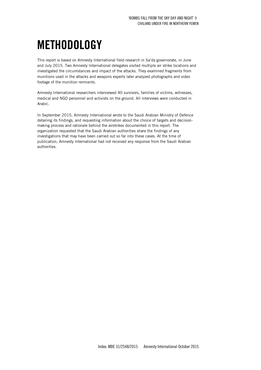## <span id="page-8-0"></span>**METHODOLOGY**

This report is based on Amnesty International field research in Sa'da governorate, in June and July 2015. Two Amnesty International delegates visited multiple air strike locations and investigated the circumstances and impact of the attacks. They examined fragments from munitions used in the attacks and weapons experts later analyzed photographs and video footage of the munition remnants.

Amnesty International researchers interviewed 40 survivors, families of victims, witnesses, medical and NGO personnel and activists on the ground. All interviews were conducted in Arabic.

In September 2015, Amnesty International wrote to the Saudi Arabian Ministry of Defence detailing its findings, and requesting information about the choice of targets and decisionmaking process and rationale behind the airstrikes documented in this report. The organization requested that the Saudi Arabian authorities share the findings of any investigations that may have been carried out so far into these cases. At the time of publication, Amnesty International had not received any response from the Saudi Arabian authorities.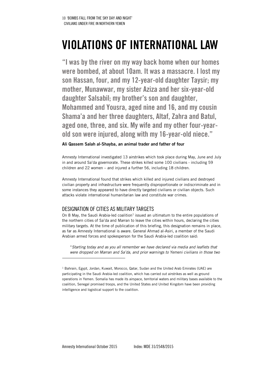## <span id="page-9-0"></span>**VIOLATIONS OF INTERNATIONAL LAW**

**"I was by the river on my way back home when our homes were bombed, at about 10am. It was a massacre. I lost my son Hassan, four, and my 12-year-old daughter Taysir; my mother, Munawwar, my sister Aziza and her six-year-old daughter Salsabil; my brother's son and daughter, Mohammed and Yousra, aged nine and 16, and my cousin Shama'a and her three daughters, Altaf, Zahra and Batul, aged one, three, and six. My wife and my other four-yearold son were injured, along with my 16-year-old niece."** 

### **Ali Qassem Salah al-Shayba, an animal trader and father of four**

Amnesty International investigated 13 airstrikes which took place during May, June and July in and around Sa'da governorate. These strikes killed some 100 civilians - including 59 children and 22 women – and injured a further 56, including 18 children.

Amnesty International found that strikes which killed and injured civilians and destroyed civilian property and infrastructure were frequently disproportionate or indiscriminate and in some instances they appeared to have directly targeted civilians or civilian objects. Such attacks violate international humanitarian law and constitute war crimes.

## <span id="page-9-1"></span>DESIGNATION OF CITIES AS MILITARY TARGETS

l

On 8 May, the Saudi Arabia-led coalition<sup>1</sup> issued an ultimatum to the entire populations of the northern cities of Sa'da and Marran to leave the cities within hours, declaring the cities military targets. At the time of publication of this briefing, this designation remains in place, as far as Amnesty International is aware. General Ahmad al-Asiri, a member of the Saudi Arabian armed forces and spokesperson for the Saudi Arabia-led coalition said:

"*Starting today and as you all remember we have declared via media and leaflets that were dropped on Marran and Sa'da, and prior warnings to Yemeni civilians in those two* 

<sup>&</sup>lt;sup>1</sup> Bahrain, Egypt, Jordan, Kuwait, Morocco, Qatar, Sudan and the United Arab Emirates (UAE) are participating in the Saudi Arabia-led coalition, which has carried out airstrikes as well as ground operations in Yemen. Somalia has made its airspace, territorial waters and military bases available to the coalition, Senegal promised troops, and the United States and United Kingdom have been providing intelligence and logistical support to the coalition.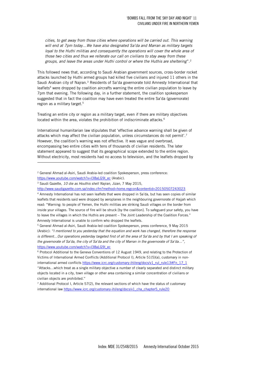*cities, to get away from those cities where operations will be carried out. This warning will end at 7pm today…We have also designated Sa'da and Marran as military targets loyal to the Huthi militias and consequently the operations will cover the whole area of those two cities and thus we reiterate our call on civilians to stay away from these groups, and leave the areas under Huthi control or where the Huthis are sheltering*".<sup>2</sup>

This followed news that, according to Saudi Arabian government sources, cross-border rocket attacks launched by Huthi armed groups had killed five civilians and injured 11 others in the Saudi Arabian city of Najran.<sup>3</sup> Residents of Sa'da governorate told Amnesty International that leaflets<sup>4</sup> were dropped by coalition aircrafts warning the entire civilian population to leave by 7pm that evening. The following day, in a further statement, the coalition spokesperson suggested that in fact the coalition may have even treated the entire Sa'da (governorate) region as a military target.<sup>5</sup>

Treating an entire city or region as a military target, even if there are military objectives located within the area, violates the prohibition of indiscriminate attacks.<sup>6</sup>

International humanitarian law stipulates that 'effective advance warning shall be given of attacks which may affect the civilian population, unless circumstances do not permit'.<sup>7</sup> However, the coalition's warning was not effective. It was vague and overbroad, encompassing two entire cities with tens of thousands of civilian residents. The later statement appeared to suggest that its geographical scope extended to the entire region. Without electricity, most residents had no access to television, and the leaflets dropped by

-

<http://www.saudigazette.com.sa/index.cfm?method=home.regcon&contentid=20150507243023>

<sup>5</sup> General Ahmad al-Asiri, Saudi Arabia-led coalition Spokesperson, press conference, 9 May 2015 (Arabic): *"I mentioned to you yesterday that the equation and work has changed, therefore the response*  is different...Our operations yesterday targeted first of all the area of Sa'da and by that I am speaking of *the governorate of Sa'da, the city of Sa'da and the city of Marran in the governorate of Sa'da…",*  [https://www.youtube.com/watch?v=l38aLG9l\\_ec](https://www.youtube.com/watch?v=l38aLG9l_ec)

<sup>&</sup>lt;sup>2</sup> General Ahmad al-Asiri, Saudi Arabia-led coalition Spokesperson, press conference: [https://www.youtube.com/watch?v=l38aLG9l\\_ec](https://www.youtube.com/watch?v=l38aLG9l_ec) (Arabic).

<sup>3</sup> Saudi Gazette, *10 die as Houthis shell Najran, Jizan,* 7 May 2015,

<sup>4</sup> Amnesty International has not seen leaflets that were dropped in Sa'da, but has seen copies of similar leaflets that residents said were dropped by aeroplanes in the neighbouring governorate of Hajjah which read: "Warning: to people of Yemen, the Huthi militias are striking Saudi villages on the border from inside your villages. The source of fire will be struck [by the coalition]. To safeguard your safety, you have to leave the villages in which the Huthis are present – The Joint Leadership of the Coalition Forces." Amnesty International is unable to confirm who dropped the leaflets.

<sup>6</sup> Protocol Additional to the Geneva Conventions of 12 August 1949, and relating to the Protection of Victims of International Armed Conflicts (Additional Protocol I), Article 51(5)(a), customary in noninternational armed conflicts [https://www.icrc.org/customary-ihl/eng/docs/v1\\_rul\\_rule13#Fn\\_17\\_1](https://www.icrc.org/customary-ihl/eng/docs/v1_rul_rule13#Fn_17_1) "Attacks…which treat as a single military objective a number of clearly separated and distinct military objects located in a city, town village or other area containing a similar concentration of civilians or civilian objects are prohibited."

 $7$  Additional Protocol I, Article 57(2), the relevant sections of which have the status of customary international la[w https://www.icrc.org/customary-ihl/eng/docs/v1\\_cha\\_chapter5\\_rule20](https://www.icrc.org/customary-ihl/eng/docs/v1_cha_chapter5_rule20)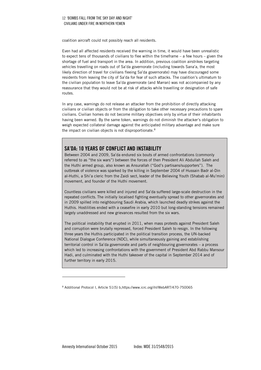coalition aircraft could not possibly reach all residents.

Even had all affected residents received the warning in time, it would have been unrealistic to expect tens of thousands of civilians to flee within the timeframe  $-$  a few hours  $-$  given the shortage of fuel and transport in the area. In addition, previous coalition airstrikes targeting vehicles travelling on roads out of Sa'da governorate (including towards Sana'a, the most likely direction of travel for civilians fleeing Sa'da governorate) may have discouraged some residents from leaving the city of Sa'da for fear of such attacks. The coalition's ultimatum to the civilian population to leave Sa'da governorate (and Marran) was not accompanied by any reassurance that they would not be at risk of attacks while travelling or designation of safe routes.

In any case, warnings do not release an attacker from the prohibition of directly attacking civilians or civilian objects or from the obligation to take other necessary precautions to spare civilians. Civilian homes do not become military objectives only by virtue of their inhabitants having been warned. By the same token, warnings do not diminish the attacker's obligation to weigh expected collateral damage against the anticipated military advantage and make sure the impact on civilian objects is not disproportionate.<sup>8</sup>

### **SA'DA: 10 YEARS OF CONFLICT AND INSTABILITY**

Between 2004 and 2009, Sa'da endured six bouts of armed confrontations (commonly referred to as "the six wars") between the forces of then President Ali Abdullah Saleh and the Huthi armed group, also known as Ansurallah ("God's partisans/supporters"). The outbreak of violence was sparked by the killing in September 2004 of Hussain Badr al-Din al-Huthi, a Shi'a cleric from the Zaidi sect, leader of the Believing Youth (Shabab al-Mu'min) movement, and founder of the Huthi movement.

Countless civilians were killed and injured and Sa'da suffered large-scale destruction in the repeated conflicts. The initially localised fighting eventually spread to other governorates and in 2009 spilled into neighbouring Saudi Arabia, which launched deadly strikes against the Huthis. Hostilities ended with a ceasefire in early 2010 but long-standing tensions remained largely unaddressed and new grievances resulted from the six wars.

The political instability that erupted in 2011, when mass protests against President Saleh and corruption were brutally repressed, forced President Saleh to resign. In the following three years the Huthis participated in the political transition process, the UN-backed National Dialogue Conference (NDC), while simultaneously gaining and establishing territorial control in Sa'da governorate and parts of neighbouring governorates – a process which led to increasing confrontations with the government of President Abd Rabbu Mansour Hadi, and culminated with the Huthi takeover of the capital in September 2014 and of further territory in early 2015.

l

<sup>8</sup> Additional Protocol I, Article 51(5) b,https://www.icrc.org/ihl/WebART/470-750065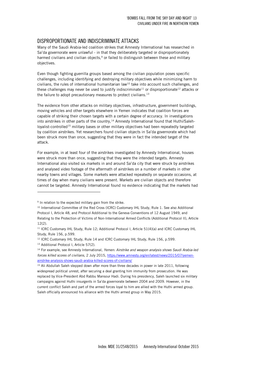## <span id="page-12-0"></span>DISPROPORTIONATE AND INDISCRIMINATE ATTACKS

Many of the Saudi Arabia-led coalition strikes that Amnesty International has researched in Sa'da governorate were unlawful - in that they deliberately targeted or disproportionately harmed civilians and civilian objects,<sup>9</sup> or failed to distinguish between these and military objectives.

Even though fighting guerrilla groups based among the civilian population poses specific challenges, including identifying and destroying military objectives while minimizing harm to civilians, the rules of international humanitarian law<sup>10</sup> take into account such challenges, and these challenges may never be used to justify indiscriminate<sup>11</sup> or disproportionate<sup>12</sup> attacks or the failure to adopt precautionary measures to protect civilians.<sup>13</sup>

The evidence from other attacks on military objectives, infrastructure, government buildings, moving vehicles and other targets elsewhere in Yemen indicates that coalition forces are capable of striking their chosen targets with a certain degree of accuracy. In investigations into airstrikes in other parts of the country,<sup>14</sup> Amnesty International found that Huthi/Salehloyalist-controlled<sup>15</sup> military bases or other military objectives had been repeatedly targeted by coalition airstrikes. Yet researchers found civilian objects in Sa'da governorate which had been struck more than once, suggesting that they were in fact the intended target of the attack.

For example, in at least four of the airstrikes investigated by Amnesty International, houses were struck more than once, suggesting that they were the intended targets. Amnesty International also visited six markets in and around Sa'da city that were struck by airstrikes and analysed video footage of the aftermath of airstrikes on a number of markets in other nearby towns and villages. Some markets were attacked repeatedly on separate occasions, at times of day when many civilians were present. Markets are civilian objects and therefore cannot be targeted. Amnesty International found no evidence indicating that the markets had

<sup>9</sup> In relation to the expected military gain from the strike.

<sup>&</sup>lt;sup>10</sup> International Committee of the Red Cross (ICRC) Customary IHL Study, Rule 1. See also Additional Protocol I, Article 48, and Protocol Additional to the Geneva Conventions of 12 August 1949, and Relating to the Protection of Victims of Non-International Armed Conflicts (Additional Protocol II), Article 12(2).

<sup>&</sup>lt;sup>11</sup> ICRC Customary IHL Study, Rule 12; Additional Protocol I, Article 51(4)(a) and ICRC Customary IHL Study, Rule 156, p.599.

<sup>&</sup>lt;sup>12</sup> ICRC Customary IHL Study, Rule 14 and ICRC Customary IHL Study, Rule 156, p.599.

<sup>13</sup> Additional Protocol I, Article 57(2).

<sup>14</sup> For example, see Amnesty International, *Yemen: Airstrike and weapon analysis shows Saudi Arabia-led forces killed scores of civilians*, 2 July 2015, [https://www.amnesty.org/en/latest/news/2015/07/yemen](https://www.amnesty.org/en/latest/news/2015/07/yemen-airstrike-analysis-shows-saudi-arabia-killed-scores-of-civilians/)[airstrike-analysis-shows-saudi-arabia-killed-scores-of-civilians/](https://www.amnesty.org/en/latest/news/2015/07/yemen-airstrike-analysis-shows-saudi-arabia-killed-scores-of-civilians/)

<sup>&</sup>lt;sup>15</sup> Ali Abdullah Saleh stepped down after more than three decades in power in late 2011, following widespread political unrest, after securing a deal granting him immunity from prosecution. He was replaced by Vice-President Abd Rabbu Mansour Hadi. During his presidency, Saleh launched six military campaigns against Huthi insurgents in Sa'da governorate between 2004 and 2009. However, in the current conflict Saleh and part of the armed forces loyal to him are allied with the Huthi armed group. Saleh officially announced his alliance with the Huthi armed group in May 2015.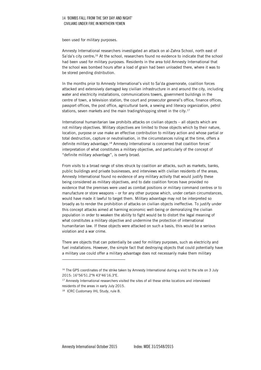been used for military purposes.

Amnesty International researchers investigated an attack on al-Zahra School, north east of Sa'da's city centre**.** <sup>16</sup> At the school, researchers found no evidence to indicate that the school had been used for military purposes. Residents in the area told Amnesty International that the school was bombed hours after a load of grain had been unloaded there, where it was to be stored pending distribution.

In the months prior to Amnesty International's visit to Sa'da governorate, coalition forces attacked and extensively damaged key civilian infrastructure in and around the city, including water and electricity installations, communications towers, government buildings in the centre of town, a television station, the court and prosecutor general's office, finance offices, passport offices, the post office, agricultural bank, a sewing and literacy organization, petrol stations, seven markets and the main trading/shopping street in the city.<sup>17</sup>

International humanitarian law prohibits attacks on civilian objects – all objects which are not military objectives. Military objectives are limited to those objects which by their nature, location, purpose or use make an effective contribution to military action and whose partial or total destruction, capture or neutralisation, in the circumstances ruling at the time, offers a definite military advantage.<sup>18</sup> Amnesty International is concerned that coalition forces' interpretation of what constitutes a military objective, and particularly of the concept of "definite military advantage", is overly broad.

From visits to a broad range of sites struck by coalition air attacks, such as markets, banks, public buildings and private businesses, and interviews with civilian residents of the areas, Amnesty International found no evidence of any military activity that would justify these being considered as military objectives, and to date coalition forces have provided no evidence that the premises were used as combat positions or military command centres or to manufacture or store weapons – or for any other purpose which, under certain circumstances, would have made it lawful to target them. Military advantage may not be interpreted so broadly as to render the prohibition of attacks on civilian objects ineffective. To justify under this concept attacks aimed at harming economic well-being or demoralizing the civilian population in order to weaken the ability to fight would be to distort the legal meaning of what constitutes a military objective and undermine the protection of international humanitarian law. If these objects were attacked on such a basis, this would be a serious violation and a war crime.

There are objects that can potentially be used for military purposes, such as electricity and fuel installations. However, the simple fact that destroying objects that could potentially have a military use could offer a military advantage does not necessarily make them military

j

<sup>&</sup>lt;sup>16</sup> The GPS coordinates of the strike taken by Amnesty International during a visit to the site on 3 July 2015: 16°56'51.2"N 43°46'16.3"E.

<sup>&</sup>lt;sup>17</sup> Amnesty International researchers visited the sites of all these strike locations and interviewed residents of the areas in early July 2015.

<sup>&</sup>lt;sup>18</sup> ICRC Customary IHL Study, rule 8.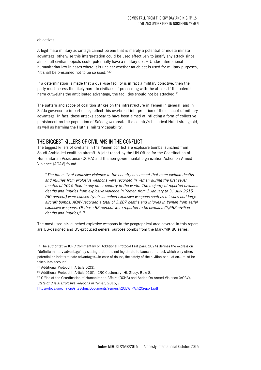objectives.

A legitimate military advantage cannot be one that is merely a potential or indeterminate advantage, otherwise this interpretation could be used effectively to justify any attack since almost all civilian objects could potentially have a military use.<sup>19</sup> Under international humanitarian law in cases where it is unclear whether an object is used for military purposes, "it shall be presumed not to be so used."<sup>20</sup>

If a determination is made that a dual-use facility is in fact a military objective, then the party must assess the likely harm to civilians of proceeding with the attack. If the potential harm outweighs the anticipated advantage, the facilities should not be attacked.<sup>21</sup>

The pattern and scope of coalition strikes on the infrastructure in Yemen in general, and in Sa'da governorate in particular, reflect this overbroad interpretation of the concept of military advantage. In fact, these attacks appear to have been aimed at inflicting a form of collective punishment on the population of Sa'da governorate, the country's historical Huthi stronghold, as well as harming the Huthis' military capability.

## <span id="page-14-0"></span>THE BIGGEST KILLERS OF CIVILIANS IN THE CONFLICT

The biggest killers of civilians in the Yemen conflict are explosive bombs launched from Saudi Arabia-led coalition aircraft. A joint report by the UN Office for the Coordination of Humanitarian Assistance (OCHA) and the non-governmental organization Action on Armed Violence (AOAV) found:

"*The intensity of explosive violence in the country has meant that more civilian deaths and injuries from explosive weapons were recorded in Yemen during the first seven months of 2015 than in any other country in the world. The majority of reported civilians deaths and injuries from explosive violence in Yemen from 1 January to 31 July 2015 (60 percent) were caused by air-launched explosive weapons such as missiles and large aircraft bombs. AOAV recorded a total of 3,287 deaths and injuries in Yemen from aerial explosive weapons. Of these 82 percent were reported to be civilians (2,682 civilian deaths and injuries)*".<sup>22</sup>

The most used air-launched explosive weapons in the geographical area covered in this report are US-designed and US-produced general purpose bombs from the Mark/MK 80 series,

 $19$  The authoritative ICRC Commentary on Additional Protocol I (at para. 2024) defines the expression "definite military advantage" by stating that "it is not legitimate to launch an attack which only offers potential or indeterminate advantages...in case of doubt, the safety of the civilian population…must be taken into account".

<sup>20</sup> Additional Protocol I, Article 52(3).

<sup>&</sup>lt;sup>21</sup> Additional Protocol I, Article 51(5), ICRC Customary IHL Study, Rule 8.

<sup>&</sup>lt;sup>22</sup> Office of the Coordination of Humanitarian Affairs (OCHA) and Action On Armed Violence (AOAV), *State of Crisis: Explosive Weapons in Yemen*, 2015, :

<https://docs.unocha.org/sites/dms/Documents/Yemen%20EWIPA%20report.pdf>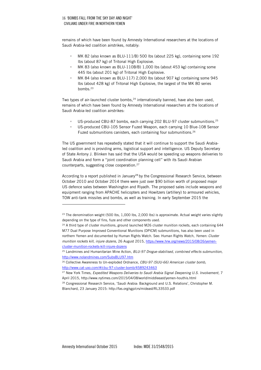l

remains of which have been found by Amnesty International researchers at the locations of Saudi Arabia-led coalition airstrikes, notably:

- MK 82 (also known as BLU-111/B) 500 lbs (about 225 kg), containing some 192 lbs (about 87 kg) of Tritonal High Explosive.
- MK 83 (also known as BLU-110B/B) 1,000 lbs (about 453 kg) containing some 445 lbs (about 201 kg) of Tritonal High Explosive.
- MK 84 (also known as BLU-117) 2,000 lbs (about 907 kg) containing some 945 lbs (about 428 kg) of Tritonal High Explosive, the largest of the MK 80 series bombs.<sup>23</sup>

Two types of air-launched cluster bombs,<sup>24</sup> internationally banned, have also been used, remains of which have been found by Amnesty International researchers at the locations of Saudi Arabia-led coalition airstrikes:

- US-produced CBU-87 bombs, each carrying 202 BLU-97 cluster submunitions.<sup>25</sup>
- US-produced CBU-105 Sensor Fuzed Weapon, each carrying 10 Blue-108 Sensor Fuzed submunitions canisters, each containing four submunitions.<sup>26</sup>

The US government has repeatedly stated that it will continue to support the Saudi Arabialed coalition and is providing arms, logistical support and intelligence. US Deputy Secretary of State Antony J. Blinken has said that the USA would be speeding up weapons deliveries to Saudi Arabia and form a "joint coordination planning cell" with its Saudi Arabian counterparts, suggesting close cooperation.<sup>27</sup>

According to a report published in January<sup>28</sup> by the Congressional Research Service, between October 2010 and October 2014 there were just over \$90 billion worth of proposed major US defence sales between Washington and Riyadh. The proposed sales include weapons and equipment ranging from APACHE helicopters and Howitzers (artillery) to armoured vehicles, TOW anti-tank missiles and bombs, as well as training. In early September 2015 the

<sup>&</sup>lt;sup>23</sup> The denomination weight (500 lbs, 1,000 lbs, 2,000 lbs) is approximate. Actual weight varies slightly depending on the type of fins, fuze and other components used.

<sup>&</sup>lt;sup>24</sup> A third type of cluster munitions, ground launched M26 cluster munition rockets, each containing 644 M77 Dual Purpose Improved Conventional Munitions (DPICM) submunitions, has also been used in northern Yemen and documented by Human Rights Watch. See: Human Rights Watch, *Yemen: Cluster munition rockets kill, injure dozens,* 26 August 2015[, https://www.hrw.org/news/2015/08/26/yemen](https://www.hrw.org/news/2015/08/26/yemen-cluster-munition-rockets-kill-injure-dozens)[cluster-munition-rockets-kill-injure-dozens](https://www.hrw.org/news/2015/08/26/yemen-cluster-munition-rockets-kill-injure-dozens)

<sup>25</sup> Landmines and Humanitarian Mine Action, *BLU-97 Drogue-stabilised, combined effects submunition,* <http://www.nolandmines.com/SubsBLU97.htm>

<sup>26</sup> Collective Awareness to Un-exploded Ordnance, *CBU-97 (SUU-66) American cluster bomb,*  <http://www.cat-uxo.com/#/cbu-97-cluster-bomb/4589243463>

<sup>27</sup> New York Times, *Expedited Weapons Deliveries to Saudi Arabia Signal Deepening U.S. Involvement*, 7 April 2015, http://www.nytimes.com/2015/04/08/world/middleeast/yemen-houthis.html

<sup>28</sup> Congressional Research Service, 'Saudi Arabia: Background and U.S. Relations', Christopher M. Blanchard, 23 January 2015:<http://fas.org/sgp/crs/mideast/RL33533.pdf>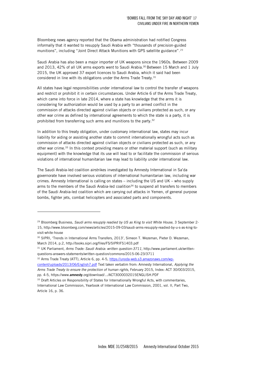Bloomberg news agency reported that the Obama administration had notified Congress informally that it wanted to resupply Saudi Arabia with "thousands of precision-guided munitions", including "Joint Direct Attack Munitions with GPS satellite guidance".<sup>29</sup>

Saudi Arabia has also been a major importer of UK weapons since the 1960s. Between 2009 and 2013, 42% of all UK arms exports went to Saudi Arabia.<sup>30</sup> Between 15 March and 1 July 2015, the UK approved 37 export licences to Saudi Arabia, which it said had been considered in line with its obligations under the Arms Trade Treaty.<sup>31</sup>

All states have legal responsibilities under international law to control the transfer of weapons and restrict or prohibit it in certain circumstances. Under Article 6 of the Arms Trade Treaty, which came into force in late 2014, where a state has knowledge that the arms it is considering for authorization would be used by a party to an armed conflict in the commission of attacks directed against civilian objects or civilians protected as such, or any other war crime as defined by international agreements to which the state is a party, it is prohibited from transferring such arms and munitions to the party.<sup>32</sup>

In addition to this treaty obligation, under customary international law, states may incur liability for aiding or assisting another state to commit internationally wrongful acts such as commission of attacks directed against civilian objects or civilians protected as such, or any other war crime.<sup>33</sup> In this context providing means or other material support (such as military equipment) with the knowledge that its use will lead to or facilitate the commission of serious violations of international humanitarian law may lead to liability under international law.

The Saudi Arabia-led coalition airstrikes investigated by Amnesty International in Sa'da governorate have involved serious violations of international humanitarian law, including war crimes. Amnesty International is calling on states – including the US and UK – who supply arms to the members of the Saudi Arabia-led coalition<sup>34</sup> to suspend all transfers to members of the Saudi Arabia-led coalition which are carrying out attacks in Yemen, of general purpose bombs, fighter jets, combat helicopters and associated parts and components.

<sup>32</sup> Arms Trade Treaty (ATT), Article 6, pp. 4-5[, https://unoda-web.s3.amazonaws.com/wp-](https://unoda-web.s3.amazonaws.com/wp-content/uploads/2013/06/English7.pdf)

<sup>29</sup> Bloomberg Business, *Saudi arms resupply readied by US as King to visit White House,* 3 September 2- 15, http://www.bloomberg.com/news/articles/2015-09-03/saudi-arms-resupply-readied-by-u-s-as-king-tovisit-white-house

<sup>30</sup> SIPRI, 'Trends in International Arms Transfers, 2013', Simeon T. Wezeman, Pieter D. Wezeman, March 2014, p.2, http://books.sipri.org/files/FS/SIPRIFS1403.pdf

<sup>31</sup> UK Parliament, *Arms Trade: Saudi Arabia: written question-3711,* http://www.parliament.uk/writtenquestions-answers-statements/written-question/commons/2015-06-23/3711

[content/uploads/2013/06/English7.pdf](https://unoda-web.s3.amazonaws.com/wp-content/uploads/2013/06/English7.pdf) Text taken verbatim from: Amnesty International, *Applying the Arms Trade Treaty to ensure the protection of human rights*, February 2015, Index: ACT 30/003/2015, pp. 4-5, https://www.**amnesty**.org/download/.../ACT3000032015ENGLISH.PDF

<sup>33</sup> Draft Articles on Responsibility of States for Internationally Wrongful Acts, with commentaries, International Law Commission, Yearbook of International Law Commission, 2001, vol. II, Part Two, Article 16, p. 36.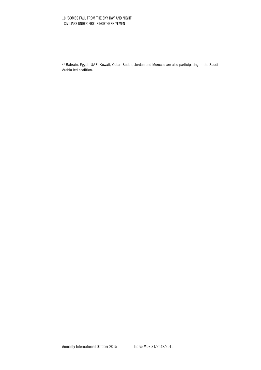j

<sup>34</sup> Bahrain, Egypt, UAE, Kuwait, Qatar, Sudan, Jordan and Morocco are also participating in the Saudi Arabia-led coalition.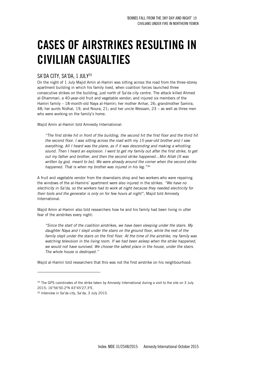## <span id="page-18-0"></span>**CASES OF AIRSTRIKES RESULTING IN CIVILIAN CASUALTIES**

## <span id="page-18-1"></span>SA'DA CITY, SA'DA, 1 JULY<sup>35</sup>

On the night of 1 July Majid Amin al-Hamiri was sitting across the road from the three-storey apartment building in which his family lived, when coalition forces launched three consecutive strikes on the building, just north of Sa'da city centre. The attack killed Ahmed al-Dhammari, a 40-year-old fruit and vegetable vendor; and injured six members of the Hamiri family – 18-month-old Naya al-Hamiri; her mother Anhar, 26; grandmother Samira, 48; her aunts Nidhal, 19, and Noura, 21; and her uncle Wessam, 23 – as well as three men who were working on the family's home.

Majid Amin al-Hamiri told Amnesty International:

*"The first strike hit in front of the building, the second hit the first floor and the third hit the second floor. I was sitting across the road with my 15-year-old brother and I saw everything. All I heard was the plane, as if it was descending and making a whistling sound. Then I heard an explosion. I went to get my family out after the first strike, to get out my father and brother, and then the second strike happened…Min Allah [It was written by god, meant to be]. We were already around the corner when the second strike happened. That is when my brother was injured in his leg."<sup>36</sup>*

A fruit and vegetable vendor from the downstairs shop and two workers who were repairing the windows of the al-Hamiris' apartment were also injured in the strikes. *"We have no electricity in Sa'da, so the workers had to work at night because they needed electricity for their tools and the generator is only on for few hours at night"*, Majid told Amnesty International.

Majid Amin al-Hamiri also told researchers how he and his family had been living in utter fear of the airstrikes every night:

*"Since the start of the coalition airstrikes, we have been sleeping under the stairs. My daughter Naya and I slept under the stairs on the ground floor, while the rest of the family slept under the stairs on the first floor. At the time of the airstrike, my family was watching television in the living room. If we had been asleep when the strike happened, we would not have survived. We choose the safest place in the house, under the stairs. The whole house is destroyed."*

Majid al-Hamiri told researchers that this was not the first airstrike on his neighbourhood:

<sup>&</sup>lt;sup>35</sup> The GPS coordinates of the strike taken by Amnesty International during a visit to the site on 3 July 2015: 16°56'50.2"N 43°45'27.3"E.

<sup>36</sup> Interview in Sa'da city, Sa'da, 3 July 2015.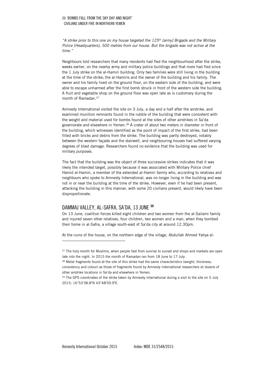*"A strike prior to this one on my house targeted the 125th [army] Brigade and the Military Police [Headquarters], 500 metres from our house. But the brigade was not active at the time."*

Neighbours told researchers that many residents had fled the neighbourhood after the strike, weeks earlier, on the nearby army and military police buildings and that more had fled since the 1 July strike on the al-Hamiri building. Only two families were still living in the building at the time of the strike; the al-Hamiris and the owner of the building and his family. The owner and his family lived on the ground floor, on the eastern side of the building, and were able to escape unharmed after the first bomb struck in front of the western side the building. A fruit and vegetable shop on the ground floor was open late as is customary during the month of Ramadan.<sup>37</sup>

Amnesty International visited the site on 3 July, a day and a half after the airstrike, and examined munition remnants found in the rubble of the building that were consistent with the weight and material used for bombs found at the sites of other airstrikes in Sa'da governorate and elsewhere in Yemen.<sup>38</sup> A crater of about two meters in diameter in front of the building, which witnesses identified as the point of impact of the first strike, had been filled with bricks and debris from the strike. The building was partly destroyed, notably between the western façade and the stairwell, and neighbouring houses had suffered varying degrees of blast damage. Researchers found no evidence that the building was used for military purposes.

The fact that the building was the object of three successive strikes indicates that it was likely the intended target, possibly because it was associated with Military Police chief Hamid al-Hamiri, a member of the extended al-Hamiri family who, according to relatives and neighbours who spoke to Amnesty International, was no longer living in the building and was not in or near the building at the time of the strike. However, even if he had been present, attacking the building in this manner, with some 20 civilians present, would likely have been disproportionate.

### <span id="page-19-0"></span>DAMMAJ VALLEY, AL-SAFRA, SA'DA, 13 JUNE **<sup>39</sup>**

l

On 13 June, coalition forces killed eight children and two women from the al-Sailami family and injured seven other relatives, four children, two women and a man, when they bombed their home in al-Safra, a village south-east of Sa'da city at around 12.30pm.

At the ruins of the house, on the northern edge of the village, Abdullah Ahmed Yahya al-

<sup>&</sup>lt;sup>37</sup> The holy month for Muslims, when people fast from sunrise to sunset and shops and markets are open late into the night. In 2015 the month of Ramadan ran from 18 June to 17 July.

<sup>38</sup> Metal fragments found at the site of this strike had the same characteristics (weight, thickness, consistency and colour) as those of fragments found by Amnesty International researchers at dozens of other airstrike locations in Sa'da and elsewhere in Yemen.

<sup>39</sup> The GPS coordinates of the strike taken by Amnesty International during a visit to the site on 5 July 2015: 16°53'38.8"N 43°48'59.9"E.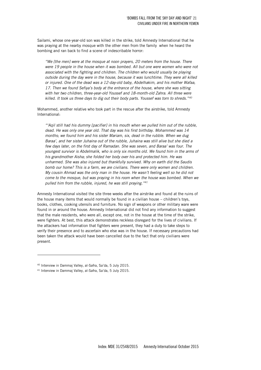Sailami, whose one-year-old son was killed in the strike, told Amnesty International that he was praying at the nearby mosque with the other men from the family when he heard the bombing and ran back to find a scene of indescribable horror:

*"We [the men] were at the mosque at noon prayers, 20 meters from the house. There were 19 people in the house when it was bombed. All but one were women who were not associated with the fighting and children. The children who would usually be playing outside during the day were in the house, because it was lunchtime. They were all killed or injured. One of the dead was a 12-day-old baby, Abdelhakim, and his mother Wafaa, 17. Then we found Sefiya's body at the entrance of the house, where she was sitting with her two children, three-year-old Youssef and 18-month-old Zahra. All three were killed. It took us three days to dig out their body parts. Youssef was torn to shreds."<sup>40</sup>*

Mohammed, another relative who took part in the rescue after the airstrike, told Amnesty International:

*"'Aqil still had his dummy [pacifier] in his mouth when we pulled him out of the rubble, dead. He was only one year old. That day was his first birthday. Mohammed was 14 months; we found him and his sister Mariam, six, dead in the rubble. When we dug Baraa', and her sister Juhaina out of the rubble, Juhaina was still alive but she died a few days later, on the first day of Ramadan. She was seven, and Baraa' was four. The youngest survivor is Abdelmalik, who is only six months old. We found him in the arms of his grandmother Aisha; she folded her body over his and protected him. He was unharmed. She was also injured but thankfully survived. Why on earth did the Saudis bomb our home? This is a farm, we are civilians. There were only women and children. My cousin Ahmad was the only man in the house. He wasn't feeling well so he did not come to the mosque, but was praying in his room when the house was bombed. When we pulled him from the rubble, injured, he was still praying." 41*

Amnesty International visited the site three weeks after the airstrike and found at the ruins of the house many items that would normally be found in a civilian house – children's toys, books, clothes, cooking utensils and furniture. No sign of weapons or other military ware were found in or around the house. Amnesty International did not find any information to suggest that the male residents, who were all, except one, not in the house at the time of the strike, were fighters. At best, this attack demonstrates reckless disregard for the lives of civilians. If the attackers had information that fighters were present, they had a duty to take steps to verify their presence and to ascertain who else was in the house. If necessary precautions had been taken the attack would have been cancelled due to the fact that only civilians were present.

<sup>40</sup> Interview in Dammaj Valley, al-Safra, Sa'da, 5 July 2015.

<sup>41</sup> Interview in Dammaj Valley, al-Safra, Sa'da, 5 July 2015.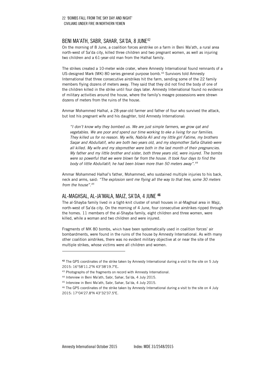### <span id="page-21-0"></span>BENI MA'ATH, SABR, SAHAR, SA'DA, 8 JUNE<sup>42</sup>

On the morning of 8 June, a coalition forces airstrike on a farm in Beni Ma'ath, a rural area north-west of Sa'da city, killed three children and two pregnant women, as well as injuring two children and a 61-year-old man from the Halhal family.

The strikes created a 10-meter wide crater, where Amnesty International found remnants of a US-designed Mark (MK) 80 series general purpose bomb.<sup>43</sup> Survivors told Amnesty International that three consecutive airstrikes hit the farm, sending some of the 22 family members flying dozens of meters away. They said that they did not find the body of one of the children killed in the strike until four days later. Amnesty International found no evidence of military activities around the house, where the family's meagre possessions were strewn dozens of meters from the ruins of the house.

Ammar Mohammed Halhal, a 28-year-old farmer and father of four who survived the attack, but lost his pregnant wife and his daughter, told Amnesty International:

*"I don't know why they bombed us. We are just simple farmers, we grow qat and vegetables. We are poor and spend our time working to eke a living for our families. They killed us for no reason. My wife, Nabila Ali and my little girl Fatime, my brothers Saqar and Abdullatif, who are both two years old, and my stepmother Safia Ghaleb were all killed. My wife and my stepmother were both in the last month of their pregnancies. My father and my little brother and sister, both three years old, were injured. The bombs were so powerful that we were blown far from the house. It took four days to find the body of little Abdullatif; he had been blown more than 50 meters away".<sup>44</sup>*

Ammar Mohammed Halhal's father, Mohammed, who sustained multiple injuries to his back, neck and arms, said: *"The explosion sent me flying all the way to that tree, some 30 meters from the house".<sup>45</sup>*

### <span id="page-21-1"></span>AL-MAGHSAL, AL-JA'MALA, MAJZ, SA'DA, 4 JUNE **<sup>46</sup>**

The al-Shayba family lived in a tight-knit cluster of small houses in al-Maghsal area in Majz, north-west of Sa'da city. On the morning of 4 June, four consecutive airstrikes ripped through the homes. 11 members of the al-Shayba family, eight children and three women, were killed, while a woman and two children and were injured.

Fragments of MK 80 bombs, which have been systematically used in coalition forces' air bombardments, were found in the ruins of the house by Amnesty International. As with many other coalition airstrikes, there was no evident military objective at or near the site of the multiple strikes, whose victims were all children and women.

l

**<sup>42</sup>** The GPS coordinates of the strike taken by Amnesty International during a visit to the site on 5 July 2015: 16°58'11.2"N 43°38'19.7"E**.**

<sup>&</sup>lt;sup>43</sup> Photographs of the fragments on record with Amnesty International.

<sup>44</sup> Interview in Beni Ma'ath, Sabr, Sahar, Sa'da, 4 July 2015.

<sup>45</sup> Interview in Beni Ma'ath, Sabr, Sahar, Sa'da, 4 July 2015.

<sup>46</sup> The GPS coordinates of the strike taken by Amnesty International during a visit to the site on 4 July 2015: 17°04'27.8"N 43°32'37.5"E.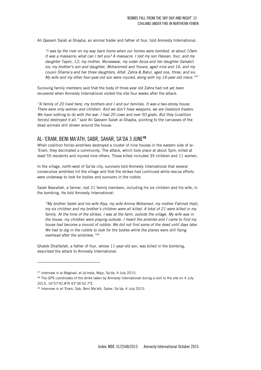Ali Qassem Salah al-Shayba, an animal trader and father of four, told Amnesty International:

*"I was by the river on my way back home when our homes were bombed, at about 10am. It was a massacre; what can I tell you? A massacre. I lost my son Hassan, four, and my daughter Taysir, 12; my mother, Munawwar, my sister Aziza and her daughter Salsabil, six; my brother's son and daughter, Mohammed and Yousra, aged nine and 16, and my cousin Shama'a and her three daughters, Altaf, Zahra & Batul, aged one, three, and six. My wife and my other four-year-old son were injured, along with my 16-year-old niece."<sup>47</sup>* 

Surviving family members said that the body of three-year old Zahra had not yet been recovered when Amnesty International visited the site four weeks after the attack.

*"A family of 20 lived here, my brothers and I and our families. It was a two-storey house. There were only women and children. And we don't have weapons, we are livestock traders. We have nothing to do with the war. I had 20 cows and over 50 goats. But they [coalition forces] destroyed it all,"* said Ali Qassem Salah al-Shayba, pointing to the carcasses of the dead animals still strewn around the house.

### <span id="page-22-0"></span>AL-'ERAM, BENI MA'ATH, SABR, SAHAR, SA'DA 3 JUNE**<sup>48</sup>**

When coalition forces airstrikes destroyed a cluster of nine houses in the eastern side of al-'Eram, they decimated a community. The attack, which took place at about 5pm, killed at least 55 residents and injured nine others. Those killed included 35 children and 11 women.

In the village, north-west of Sa'da city, survivors told Amnesty International that several consecutive airstrikes hit the village and that the strikes had continued while rescue efforts were underway to look for bodies and survivors in the rubble.

Salah Basrallah, a farmer, lost 21 family members, including his six children and his wife, in the bombing. He told Amnesty International:

*"My brother Saleh and his wife Alya, my wife Amina Mohamed, my mother Fatimat Hadi, my six children and my brother's children were all killed. A total of 21 were killed in my family. At the time of the strikes, I was at the farm, outside the village. My wife was in the house, my children were playing outside. I heard the airstrike and I came to find my house had become a mound of rubble. We did not find some of the dead until days later. We had to dig in the rubble to look for the bodies while the planes were still flying overhead after the airstrikes."<sup>49</sup>*

Ghaleb Dhaifallah, a father of four, whose 11-year-old son, was killed in the bombing, described the attack to Amnesty International:

<sup>47</sup> Interview in al-Maghsal, al-Ja'mala, Majz, Sa'da, 4 July 2015.

<sup>48</sup> The GPS coordinates of the strike taken by Amnesty International during a visit to the site on 4 July 2015: 16°57'42.8"N 43°36'52.7"E.

<sup>49</sup> Interview in al-'Eram, Sab, Beni Ma'ath, Sahar, Sa'da, 4 July 2015.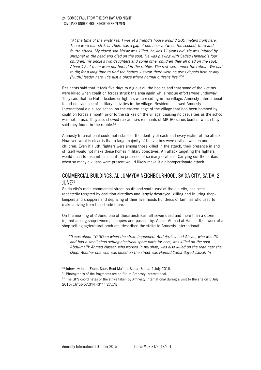*"At the time of the airstrikes, I was at a friend's house around 200 meters from here. There were four strikes. There was a gap of one hour between the second, third and fourth attack. My eldest son Mu'az was killed, he was 11 years old. He was injured by shrapnel in the head and died on the spot. He was playing with Sadeq Hamoud's four children, my uncle's two daughters and some other children they all died on the spot. About 12 of them were not buried in the rubble. The rest were under the rubble. We had to dig for a long time to find the bodies. I swear there were no arms depots here or any [Huthi] leader here. It's just a place where normal citizens live."<sup>50</sup>*

Residents said that it took five days to dig out all the bodies and that some of the victims were killed when coalition forces struck the area again while rescue efforts were underway. They said that no Huthi leaders or fighters were residing in the village. Amnesty International found no evidence of military activities in the village. Residents showed Amnesty International a disused school on the eastern edge of the village that had been bombed by coalition forces a month prior to the strikes on the village, causing no casualties as the school was not in use. They also showed researchers remnants of MK 80 series bombs, which they said they found in the rubble.<sup>51</sup>

Amnesty International could not establish the identity of each and every victim of the attack. However, what is clear is that a large majority of the victims were civilian women and children. Even if Huthi fighters were among those killed in the attack, their presence in and of itself would not make these homes military objectives. An attack targeting the fighters would need to take into account the presence of so many civilians. Carrying out the strikes when so many civilians were present would likely make it a disproportionate attack.

## <span id="page-23-0"></span>COMMERCIAL BUILDINGS, AL-JUMAYDA NEIGHBOURHOOD, SA'DA CITY, SA'DA, 2 JUNE<sup>52</sup>

Sa'da city's main commercial street, south and south-east of the old city, has been repeatedly targeted by coalition airstrikes and largely destroyed, killing and injuring shopkeepers and shoppers and depriving of their livelihoods hundreds of families who used to make a living from their trade there.

On the morning of 2 June, one of these airstrikes left seven dead and more than a dozen injured among shop-owners, shoppers and passers-by. Ahsan Ahmad al-Hamis, the owner of a shop selling agricultural products, described the strike to Amnesty International:

*"It was about 10.30am when the strike happened. Abdulaziz Jihad Ahsan, who was 20 and had a small shop selling electrical spare parts for cars, was killed on the spot. Abdulmalik Ahmad Nasser, who worked in my shop, was also killed on the road near the shop. Another one who was killed on the street was Hamud Yahia Sayed Zalzal. In* 

l

<sup>50</sup> Interview in al-'Eram, Sabr, Beni Ma'ath, Sahar, Sa'da, 4 July 2015.

<sup>&</sup>lt;sup>51</sup> Photographs of the fragments are on file at Amnesty International.

<sup>&</sup>lt;sup>52</sup> The GPS coordinates of the strike taken by Amnesty International during a visit to the site on 5 July 2015: 16°55'57.3"N 43°44'27.1"E.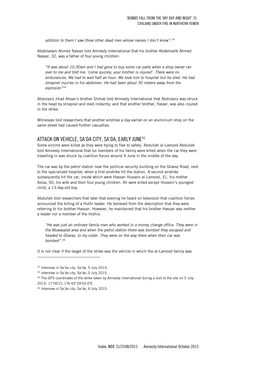*addition to them I saw three other dead men whose names I don't know".<sup>53</sup>*

Abdelsalam Ahmed Nasser told Amnesty International that his brother Abdelmalik Ahmed Nasser, 32, was a father of four young children:

*"It was about 10.30am and I had gone to buy some car parts when a shop owner ran over to me and told me: 'come quickly, your brother is injured'. There were no ambulances. We had to wait half an hour. We took him to hospital but he died. He had shrapnel injuries in his abdomen. He had been about 30 meters away from the explosion"<sup>54</sup>*

Abdulaziz Jihad Ahsan's brother Shihab told Amnesty International that Abdulaziz was struck in the head by shrapnel and died instantly; and that another brother, Yasser, was also injured in the strike.

Witnesses told researchers that another airstrike a day earlier on an aluminium shop on the same street had caused further casualties.

### <span id="page-24-0"></span>ATTACK ON VEHICLE, SA'DA CITY, SA'DA, EARLY JUNE<sup>55</sup>

Some victims were killed as they were trying to flee to safety. Abdullah al-Lamood Abdullah told Amnesty International that six members of his family were killed when the car they were travelling in was struck by coalition forces around 4 June in the middle of the day.

The car was by the petrol station near the political security building on the Gharaz Road, next to the specialized hospital, when a first airstrike hit the station. A second airstrike subsequently hit the car, inside which were Hassan Hussein al-Lamood, 31, his mother Aziza, 50, his wife and their four young children. All were killed except Hussein's youngest child, a 13-day-old boy.

Abdullah told researchers that later that evening he heard on television that coalition forces announced the killing of a Huthi leader. He believed from the description that they were referring to his brother Hassan. However, he maintained that his brother Hassan was neither a leader nor a member of the Huthis.

*"He was just an ordinary family man who worked in a money change office. They were in the Muwasalat area and when the petrol station there was bombed they escaped and headed to Gharaz, to my sister. They were on the way there when their car was bombed".<sup>56</sup>*

It is not clear if the target of the strike was the vehicle in which the al-Lamood family was

<sup>53</sup> Interview in Sa'da city, Sa'da, 5 July 2015.

<sup>54</sup> Interview in Sa'da city, Sa'da, 5 July 2015.

<sup>55</sup> The GPS coordinates of the strike taken by Amnesty International during a visit to the site on 5 July 2015: 17°00'21.1"N 43°39'53.0"E.

<sup>56</sup> Interview in Sa'da city, Sa'da, 4 July 2015.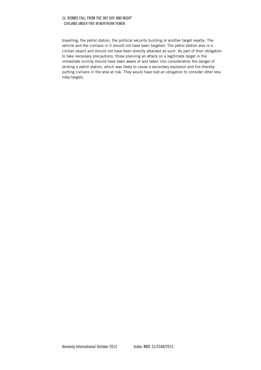travelling, the petrol station, the political security building or another target nearby. The vehicle and the civilians in it should not have been targeted. The petrol station also is a civilian object and should not have been directly attacked as such. As part of their obligation to take necessary precautions, those planning an attack on a legitimate target in the immediate vicinity should have been aware of and taken into consideration the danger of striking a petrol station, which was likely to cause a secondary explosion and fire thereby putting civilians in the area at risk. They would have had an obligation to consider other less risky targets.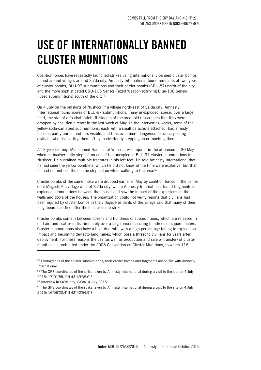## <span id="page-26-0"></span>**USE OF INTERNATIONALLY BANNED CLUSTER MUNITIONS**

Coalition forces have repeatedly launched strikes using internationally banned cluster bombs in and around villages around Sa'da city. Amnesty International found remnants of two types of cluster bombs, BLU-97 submunitions and their carrier bombs (CBU-87) north of the city, and the more sophisticated CBU-105 Sensor Fuzed Weapon (carrying Blue-108 Sensor Fuzed submunitions) south of the city.<sup>57</sup>

On 4 July on the outskirts of Nushoor,<sup>58</sup> a village north-east of Sa'da city, Amnesty International found scores of BLU-97 submunitions, many unexploded, spread over a large field, the size of a football pitch. Residents of the area told researchers that they were dropped by coalition aircraft in the last week of May. In the intervening weeks, some of the yellow soda-can sized submunitions, each with a small parachute attached, had already become partly buried and less visible, and thus even more dangerous for unsuspecting civilians who risk setting them off by inadvertently stepping on or touching them.

A 13-year-old boy, Mohammed Hamood al-Wabash, was injured in the afternoon of 30 May when he inadvertently stepped on one of the unexploded BLU-97 cluster submunitions in Nushoor. He sustained multiple fractures in his left foot. He told Amnesty International that he had seen the yellow bomblets, which he did not know at the time were explosive, but that he had not noticed the one he stepped on while walking in the area.<sup>59</sup>

Cluster bombs of the same make were dropped earlier in May by coalition forces in the centre of al-Magash,<sup>60</sup> a village west of Sa'da city, where Amnesty International found fragments of exploded submunitions between the houses and saw the impact of the explosions on the walls and doors of the houses. The organization could not verify reports that civilians had been injured by cluster bombs in the village. Residents of the village said that many of their neighbours had fled after the cluster bomb strike.

Cluster bombs contain between dozens and hundreds of submunitions, which are released in mid-air, and scatter indiscriminately over a large area measuring hundreds of square meters. Cluster submunitions also have a high dud rate, with a high percentage failing to explode on impact and becoming de-facto land mines, which pose a threat to civilians for years after deployment. For these reasons the use (as well as production and sale or transfer) of cluster munitions is prohibited under the 2008 Convention on Cluster Munitions, to which 116

<sup>57</sup> Photographs of the cluster submunitions, their carrier bombs and fragments are on file with Amnesty International.

<sup>58</sup> The GPS coordinates of the strike taken by Amnesty International during a visit to the site on 4 July 2015: 17°01'55.1"N 43°49'38.0"E.

<sup>59</sup> Interview in Sa'da city, Sa'da, 4 July 2015.

<sup>60</sup> The GPS coordinates of the strike taken by Amnesty International during a visit to the site on 4 July 2015: 16°56'23.4"N 43°42'54.9"E.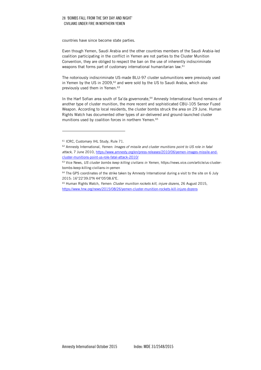countries have since become state parties.

Even though Yemen, Saudi Arabia and the other countries members of the Saudi Arabia-led coalition participating in the conflict in Yemen are not parties to the Cluster Munition Convention, they are obliged to respect the ban on the use of inherently indiscriminate weapons that forms part of customary international humanitarian law.<sup>61</sup>

The notoriously indiscriminate US-made BLU-97 cluster submunitions were previously used in Yemen by the US in 2009,<sup>62</sup> and were sold by the US to Saudi Arabia, which also previously used them in Yemen.<sup>63</sup>

In the Harf Sofian area south of Sa'da governorate, <sup>64</sup> Amnesty International found remains of another type of cluster munition, the more recent and sophisticated CBU-105 Sensor Fuzed Weapon. According to local residents, the cluster bombs struck the area on 29 June. Human Rights Watch has documented other types of air-delivered and ground-launched cluster munitions used by coalition forces in northern Yemen.<sup>65</sup>

j

<sup>61</sup> ICRC, Customary IHL Study, Rule 71.

<sup>62</sup> Amnesty International, *Yemen: Images of missile and cluster munitions point to US role in fatal attack,* 7 June 2010[, https://www.amnesty.org/en/press-releases/2010/06/yemen-images-missile-and](https://www.amnesty.org/en/press-releases/2010/06/yemen-images-missile-and-cluster-munitions-point-us-role-fatal-attack-2010/)[cluster-munitions-point-us-role-fatal-attack-2010/](https://www.amnesty.org/en/press-releases/2010/06/yemen-images-missile-and-cluster-munitions-point-us-role-fatal-attack-2010/)

<sup>63</sup> Vice News, *US cluster bombs keep killing civilians in Yemen,* https://news.vice.com/article/us-clusterbombs-keep-killing-civilians-in-yemen

<sup>64</sup> The GPS coordinates of the strike taken by Amnesty International during a visit to the site on 6 July 2015: 16°22'39.0"N 44°05'08.6"E.

<sup>65</sup> Human Rights Watch, *Yemen: Cluster munition rockets kill, injure dozens,* 26 August 2015, <https://www.hrw.org/news/2015/08/26/yemen-cluster-munition-rockets-kill-injure-dozens>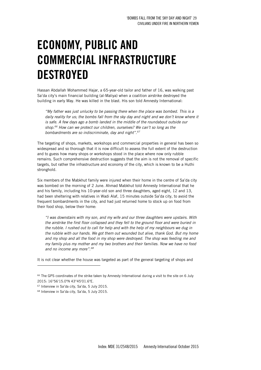## <span id="page-28-0"></span>**ECONOMY, PUBLIC AND COMMERCIAL INFRASTRUCTURE DESTROYED**

Hassan Abdallah Mohammed Hajar, a 65-year-old tailor and father of 16, was walking past Sa'da city's main financial building (al-Maliya) when a coalition airstrike destroyed the building in early May. He was killed in the blast. His son told Amnesty International:

*"My father was just unlucky to be passing there when the place was bombed. This is a daily reality for us; the bombs fall from the sky day and night and we don't know where it is safe. A few days ago a bomb landed in the middle of the roundabout outside our shop.<sup>66</sup> How can we protect our children, ourselves? We can't so long as the bombardments are so indiscriminate, day and night".<sup>67</sup>*

The targeting of shops, markets, workshops and commercial properties in general has been so widespread and so thorough that it is now difficult to assess the full extent of the destruction and to guess how many shops or workshops stood in the place where now only rubble remains. Such comprehensive destruction suggests that the aim is not the removal of specific targets, but rather the infrastructure and economy of the city, which is known to be a Huthi stronghold.

Six members of the Mabkhut family were injured when their home in the centre of Sa'da city was bombed on the morning of 2 June. Ahmad Mabkhut told Amnesty International that he and his family, including his 10-year-old son and three daughters, aged eight, 12 and 13, had been sheltering with relatives in Wadi Alaf, 15 minutes outside Sa'da city, to avoid the frequent bombardments in the city, and had just returned home to stock up on food from their food shop, below their home:

*"I was downstairs with my son, and my wife and our three daughters were upstairs. With the airstrike the first floor collapsed and they fell to the ground floor and were buried in the rubble. I rushed out to call for help and with the help of my neighbours we dug in the rubble with our hands. We got them out wounded but alive, thank God. But my home and my shop and all the food in my shop were destroyed. The shop was feeding me and my family plus my mother and my two brothers and their families. Now we have no food and no income any more".<sup>68</sup>* 

It is not clear whether the house was targeted as part of the general targeting of shops and

<sup>67</sup> Interview in Sa'da city, Sa'da, 5 July 2015.

<sup>&</sup>lt;sup>66</sup> The GPS coordinates of the strike taken by Amnesty International during a visit to the site on 6 July 2015: 16°56'15.0"N 43°45'01.6"E.

<sup>68</sup> Interview in Sa'da city, Sa'da, 5 July 2015.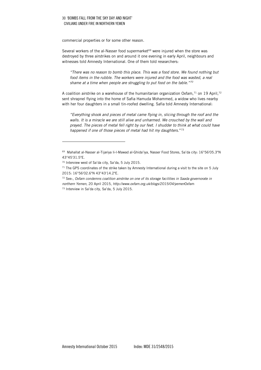commercial properties or for some other reason.

Several workers of the al-Nasser food supermarket<sup>69</sup> were injured when the store was destroyed by three airstrikes on and around it one evening in early April, neighbours and witnesses told Amnesty International. One of them told researchers:

*"There was no reason to bomb this place. This was a food store. We found nothing but*  food items in the rubble. The workers were injured and the food was wasted, a real *shame at a time when people are struggling to put food on the table."<sup>70</sup>*

A coalition airstrike on a warehouse of the humanitarian organization Oxfam,<sup>71</sup> on 19 April,<sup>72</sup> sent shrapnel flying into the home of Safia Hamuda Mohammed, a widow who lives nearby with her four daughters in a small tin-roofed dwelling. Safia told Amnesty International:

*"Everything shook and pieces of metal came flying in, slicing through the roof and the walls. It is a miracle we are still alive and unharmed. We crouched by the wall and prayed. The pieces of metal fell right by our feet. I shudder to think at what could have happened if one of those pieces of metal had hit my daughters.*" 73

l

<sup>69</sup> Mahallat al-Nasser al-Tijariya li-l-Mawad al-Ghida'iya, Nasser Food Stores, Sa'da city: 16°56'05.3"N 43°45'31.5"E.

<sup>70</sup> Interview west of Sa'da city, Sa'da, 5 July 2015.

 $71$  The GPS coordinates of the strike taken by Amnesty International during a visit to the site on 5 July 2015: 16°56'02.6"N 43°43'14.2"E.

<sup>72</sup> See:, *Oxfam condemns coalition airstrike on one of its storage facilities in Saada governorate in northern Yemen,* 20 April 2015, *http://www.oxfam.org.uk/blogs/2015/04/yemen*Oxfam

<sup>73</sup> Interview in Sa'da city, Sa'da, 5 July 2015.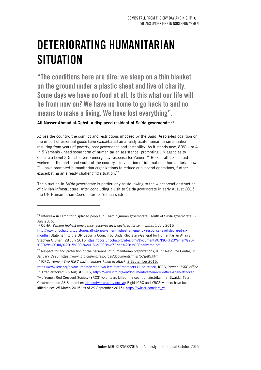## <span id="page-30-0"></span>**DETERIORATING HUMANITARIAN SITUATION**

**"The conditions here are dire; we sleep on a thin blanket on the ground under a plastic sheet and live of charity. Some days we have no food at all. Is this what our life will be from now on? We have no home to go back to and no means to make a living. We have lost everything".**

### **Ali Nasser Ahmad al-Qahsi, a displaced resident of Sa'da governorate <sup>74</sup>**

Across the country, the conflict and restrictions imposed by the Saudi Arabia-led coalition on the import of essential goods have exacerbated an already acute humanitarian situation resulting from years of poverty, poor governance and instability. As it stands now, 80% – or 4 in 5 Yemenis - need some form of humanitarian assistance, prompting UN agencies to declare a Level 3 (most severe) emergency response for Yemen.<sup>75</sup> Recent attacks on aid workers in the north and south of the country – in violation of international humanitarian law  $76$  – have prompted humanitarian organizations to reduce or suspend operations, further exacerbating an already challenging situation.<sup>77</sup>

The situation in Sa'da governorate is particularly acute, owing to the widespread destruction of civilian infrastructure. After concluding a visit to Sa'da governorate in early August 2015, the UN Humanitarian Coordinator for Yemen said:

-

[https://www.icrc.org/en/document/yemen-two-icrc-staff-members-killed-attack;](https://www.icrc.org/en/document/yemen-two-icrc-staff-members-killed-attack) ICRC, *Yemen: ICRC office*  in Aden attacked, 25 August 2015, <https://www.icrc.org/en/document/yemen-icrc-office-aden-attacked> ; Two Yemen Red Crescent Society (YRCS) volunteers killed in a coalition airstrike in al-Swaida, Taiz Governorate on 28 September[: https://twitter.com/icrc\\_ye:](https://twitter.com/icrc_ye) Eight ICRC and YRCS workers have been killed since 25 March 2015 (as of 29 September 2015): [https://twitter.com/icrc\\_ye](https://twitter.com/icrc_ye)

<sup>74</sup> Interview in camp for displaced people in Khamir (Amran governorate), south of Sa'da governorate, 6 July 2015.

<sup>75</sup> OCHA, *Yemen: highest emergency response level declared for six months*, 1 July 2015 [http://www.unocha.org/top-stories/all-stories/yemen-highest-emergency-response-level-declared-six](http://www.unocha.org/top-stories/all-stories/yemen-highest-emergency-response-level-declared-six-months)[months;](http://www.unocha.org/top-stories/all-stories/yemen-highest-emergency-response-level-declared-six-months) Statement to the UN Security Council by Under-Secretary-General for Humanitarian Affairs Stephen O'Brien, 28 July 2015 https://docs.unocha.org/sites/dms/Documents/UNSC-%20Yemen%20- %2028%20July%2015%20-%20USG%20O%27Brien%20as%20delivered.pdf

<sup>76</sup> Respect for and protection of the personnel of humanitarian organizations; ICRC Resource Centre, 19 January 1998, https://www.icrc.org/eng/resources/documents/misc/57jp85.htm <sup>77</sup> ICRC, *Yemen: Two ICRC staff members killed in attack,* 2 September 2015,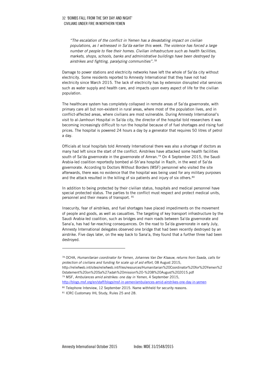*"The escalation of the conflict in Yemen has a devastating impact on civilian populations, as I witnessed in Sa'da earlier this week. The violence has forced a large number of people to flee their homes. Civilian infrastructure such as health facilities, markets, shops, schools, banks and administrative buildings have been destroyed by airstrikes and fighting, paralyzing communities".<sup>78</sup>*

Damage to power stations and electricity networks have left the whole of Sa'da city without electricity. Some residents reported to Amnesty International that they have not had electricity since March 2015. The lack of electricity has by extension disrupted vital services such as water supply and health care, and impacts upon every aspect of life for the civilian population.

The healthcare system has completely collapsed in remote areas of Sa'da governorate, with primary care all but non-existent in rural areas, where most of the population lives, and in conflict-affected areas, where civilians are most vulnerable. During Amnesty International's visit to al-Jamhouri Hospital in Sa'da city, the director of the hospital told researchers it was becoming increasingly difficult to run the hospital because of of fuel shortages and rising fuel prices. The hospital is powered 24 hours a day by a generator that requires 50 litres of petrol a day.

Officials at local hospitals told Amnesty International there was also a shortage of doctors as many had left since the start of the conflict. Airstrikes have attacked some health facilities south of Sa'da governorate in the governorate of Amran.<sup>79</sup> On 4 September 2015, the Saudi Arabia-led coalition reportedly bombed al-Sh'ara hospital in Razih, in the west of Sa'da governorate. According to Doctors Without Borders (MSF) personnel who visited the site afterwards, there was no evidence that the hospital was being used for any military purposes and the attack resulted in the killing of six patients and injury of six others.<sup>80</sup>

In addition to being protected by their civilian status, hospitals and medical personnel have special protected status. The parties to the conflict must respect and protect medical units, personnel and their means of transport. <sup>81</sup>

Insecurity, fear of airstrikes, and fuel shortages have placed impediments on the movement of people and goods, as well as casualties. The targeting of key transport infrastructure by the Saudi Arabia-led coalition, such as bridges and main roads between Sa'da governorate and Sana'a, has had far-reaching consequences. On the road to Sa'da governorate in early July, Amnesty International delegates observed one bridge that had been recently destroyed by an airstrike. Five days later, on the way back to Sana'a, they found that a further three had been destroyed.

j

<sup>78</sup> OCHA, *Humanitarian coordinator for Yemen, Johannes Van Der Klaauw, returns from Saada, calls for protection of civilians and funding for scale up of aid effort,* 08 August 2015, http://reliefweb.int/sites/reliefweb.int/files/resources/Humanitarian%20Coordinator%20for%20Yemen%2 0statement%20on%20Sa%27adah%20mission%20-%208%20August%202015.pdf <sup>79</sup> MSF, *Ambulances amid airstrikes: one day in Yemen,* 4 September 2015, <http://blogs.msf.org/en/staff/blogs/msf-in-yemen/ambulances-amid-airstrikes-one-day-in-yemen>

<sup>80</sup> Telephone Interview, 12 September 2015. Name withheld for security reasons.

<sup>81</sup> ICRC Customary IHL Study, Rules 25 and 28.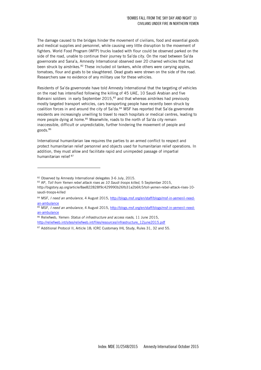The damage caused to the bridges hinder the movement of civilians, food and essential goods and medical supplies and personnel, while causing very little disruption to the movement of fighters. World Food Program (WFP) trucks loaded with flour could be observed parked on the side of the road, unable to continue their journey to Sa'da city. On the road between Sa'da governorate and Sana'a, Amnesty International observed over 20 charred vehicles that had been struck by airstrikes.<sup>82</sup> These included oil tankers, while others were carrying apples, tomatoes, flour and goats to be slaughtered. Dead goats were strewn on the side of the road. Researchers saw no evidence of any military use for these vehicles.

Residents of Sa'da governorate have told Amnesty International that the targeting of vehicles on the road has intensified following the killing of 45 UAE, 10 Saudi Arabian and five Bahraini soldiers in early September 2015,<sup>83</sup> and that whereas airstrikes had previously mostly targeted transport vehicles, cars transporting people have recently been struck by coalition forces in and around the city of Sa'da.<sup>84</sup> MSF has reported that Sa'da governorate residents are increasingly unwilling to travel to reach hospitals or medical centres, leading to more people dying at home.<sup>85</sup> Meanwhile, roads to the north of Sa'da city remain inaccessible, difficult or unpredictable, further hindering the movement of people and goods.<sup>86</sup>

International humanitarian law requires the parties to an armed conflict to respect and protect humanitarian relief personnel and objects used for humanitarian relief operations. In addition, they must allow and facilitate rapid and unimpeded passage of impartial humanitarian relief 87

<sup>82</sup> Observed by Amnesty International delegates 3-6 July, 2015.

<sup>83</sup> AP, *Toll from Yemen rebel attack rises as 10 Saudi troops killed*, 5 September 2015, http://bigstory.ap.org/article/8ae822828f9c429990b26fb31a2b6fc5/toll-yemen-rebel-attack-rises-10 saudi-troops-killed

<sup>84</sup> MSF, *I need an ambulance*, 4 August 2015, [http://blogs.msf.org/en/staff/blogs/msf-in-yemen/i-need](http://blogs.msf.org/en/staff/blogs/msf-in-yemen/i-need-an-ambulance)[an-ambulance](http://blogs.msf.org/en/staff/blogs/msf-in-yemen/i-need-an-ambulance)

<sup>85</sup> MSF, *I need an ambulance*, 4 August 2015, [http://blogs.msf.org/en/staff/blogs/msf-in-yemen/i-need](http://blogs.msf.org/en/staff/blogs/msf-in-yemen/i-need-an-ambulance)[an-ambulance](http://blogs.msf.org/en/staff/blogs/msf-in-yemen/i-need-an-ambulance)

<sup>86</sup> Reliefweb, *Yemen: Status of infrastructure and access roads,* 11 June 2015,

[http://reliefweb.int/sites/reliefweb.int/files/resources/infrastructure\\_12june2015.pdf](http://reliefweb.int/sites/reliefweb.int/files/resources/infrastructure_12june2015.pdf)

<sup>87</sup> Additional Protocol II, Article 18; ICRC Customary IHL Study, Rules 31, 32 and 55.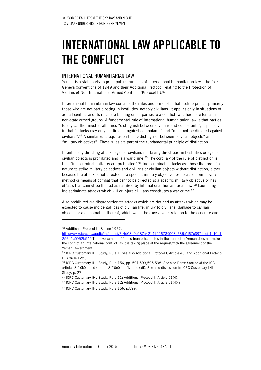## <span id="page-33-0"></span>**INTERNATIONAL LAW APPLICABLE TO THE CONFLICT**

### <span id="page-33-1"></span>INTERNATIONAL HUMANITARIAN LAW

Yemen is a state party to principal instruments of international humanitarian law - the four Geneva Conventions of 1949 and their Additional Protocol relating to the Protection of Victims of Non-International Armed Conflicts (Protocol II).<sup>88</sup>

International humanitarian law contains the rules and principles that seek to protect primarily those who are not participating in hostilities, notably civilians. It applies only in situations of armed conflict and its rules are binding on all parties to a conflict, whether state forces or non-state armed groups. A fundamental rule of international humanitarian law is that parties to any conflict must at all times "distinguish between civilians and combatants", especially in that "attacks may only be directed against combatants" and "must not be directed against civilians".<sup>89</sup> A similar rule requires parties to distinguish between "civilian objects" and "military objectives". These rules are part of the fundamental principle of distinction.

Intentionally directing attacks against civilians not taking direct part in hostilities or against civilian objects is prohibited and is a war crime.<sup>90</sup> The corollary of the rule of distinction is that "indiscriminate attacks are prohibited".<sup>91</sup> Indiscriminate attacks are those that are of a nature to strike military objectives and civilians or civilian objects without distinction, either because the attack is not directed at a specific military objective, or because it employs a method or means of combat that cannot be directed at a specific military objective or has effects that cannot be limited as required by international humanitarian law.<sup>92</sup> Launching indiscriminate attacks which kill or injure civilians constitutes a war crime.<sup>93</sup>

Also prohibited are disproportionate attacks which are defined as attacks which may be expected to cause incidental loss of civilian life, injury to civilians, damage to civilian objects, or a combination thereof, which would be excessive in relation to the concrete and

l

<sup>88</sup> Additional Protocol II, 8 June 1977,

[https://www.icrc.org/applic/ihl/ihl.nsf/7c4d08d9b287a42141256739003e636b/d67c3971bcff1c10c1](https://www.icrc.org/applic/ihl/ihl.nsf/7c4d08d9b287a42141256739003e636b/d67c3971bcff1c10c125641e0052b545) [25641e0052b545](https://www.icrc.org/applic/ihl/ihl.nsf/7c4d08d9b287a42141256739003e636b/d67c3971bcff1c10c125641e0052b545) The involvement of forces from other states in the conflict in Yemen does not make the conflict an international conflict, as it is taking place at the request/with the agreement of the Yemeni government.

<sup>89</sup> ICRC Customary IHL Study, Rule 1. See also Additional Protocol I, Article 48, and Additional Protocol II, Article 12(2).

<sup>90</sup> ICRC Customary IHL Study, Rule 156, pp. 591,593,595-598. See also Rome Statute of the ICC, articles 8(2)(b)(i) and (ii) and 8(2)(e)(i)(ii)(iv) and (xii). See also discussion in ICRC Customary IHL Study, p. 27.

<sup>91</sup> ICRC Customary IHL Study, Rule 11; Additional Protocol I, Article 51(4).

<sup>92</sup> ICRC Customary IHL Study, Rule 12; Additional Protocol I, Article 51(4)(a).

<sup>93</sup> ICRC Customary IHL Study, Rule 156, p.599.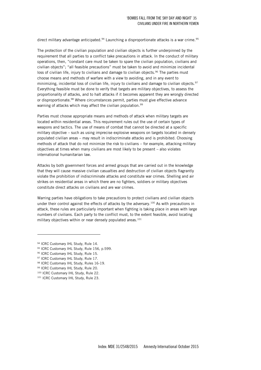direct military advantage anticipated.<sup>94</sup> Launching a disproportionate attacks is a war crime.<sup>95</sup>

The protection of the civilian population and civilian objects is further underpinned by the requirement that all parties to a conflict take precautions in attack. In the conduct of military operations, then, "constant care must be taken to spare the civilian population, civilians and civilian objects"; "all feasible precautions" must be taken to avoid and minimize incidental loss of civilian life, injury to civilians and damage to civilian objects.<sup>96</sup> The parties must choose means and methods of warfare with a view to avoiding, and in any event to minimizing, incidental loss of civilian life, injury to civilians and damage to civilian objects.<sup>97</sup> Everything feasible must be done to verify that targets are military objectives, to assess the proportionality of attacks, and to halt attacks if it becomes apparent they are wrongly directed or disproportionate.<sup>98</sup> Where circumstances permit, parties must give effective advance warning of attacks which may affect the civilian population.<sup>99</sup>

Parties must choose appropriate means and methods of attack when military targets are located within residential areas. This requirement rules out the use of certain types of weapons and tactics. The use of means of combat that cannot be directed at a specific military objective – such as using imprecise explosive weapons on targets located in densely populated civilian areas – may result in indiscriminate attacks and is prohibited. Choosing methods of attack that do not minimize the risk to civilians – for example, attacking military objectives at times when many civilians are most likely to be present – also violates international humanitarian law.

Attacks by both government forces and armed groups that are carried out in the knowledge that they will cause massive civilian casualties and destruction of civilian objects flagrantly violate the prohibition of indiscriminate attacks and constitute war crimes. Shelling and air strikes on residential areas in which there are no fighters, soldiers or military objectives constitute direct attacks on civilians and are war crimes.

Warring parties have obligations to take precautions to protect civilians and civilian objects under their control against the effects of attacks by the adversary.<sup>100</sup> As with precautions in attack, these rules are particularly important when fighting is taking place in areas with large numbers of civilians. Each party to the conflict must, to the extent feasible, avoid locating military objectives within or near densely populated areas.<sup>101</sup>

- 95 ICRC Customary IHL Study, Rule 156, p.599.
- 96 ICRC Customary IHL Study, Rule 15.

<sup>94</sup> ICRC Customary IHL Study, Rule 14.

<sup>97</sup> ICRC Customary IHL Study, Rule 17.

<sup>98</sup> ICRC Customary IHL Study, Rules 16-19.

<sup>99</sup> ICRC Customary IHL Study, Rule 20.

<sup>100</sup> ICRC Customary IHL Study, Rule 22.

<sup>101</sup> ICRC Customary IHL Study, Rule 23.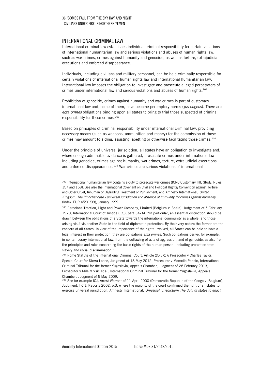### <span id="page-35-0"></span>INTERNATIONAL CRIMINAL LAW

j

International criminal law establishes individual criminal responsibility for certain violations of international humanitarian law and serious violations and abuses of human rights law, such as war crimes, crimes against humanity and genocide, as well as torture, extrajudicial executions and enforced disappearance.

Individuals, including civilians and military personnel, can be held criminally responsible for certain violations of international human rights law and international humanitarian law. International law imposes the obligation to investigate and prosecute alleged perpetrators of crimes under international law and serious violations and abuses of human rights.<sup>102</sup>

Prohibition of genocide, crimes against humanity and war crimes is part of customary international law and, some of them, have become peremptory norms (*jus cogens*). There are *erga omnes* obligations binding upon all states to bring to trial those suspected of criminal responsibility for those crimes.<sup>103</sup>

Based on principles of criminal responsibility under international criminal law, providing necessary means (such as weapons, ammunition and money) for the commission of those crimes may amount to aiding, assisting, abetting or otherwise facilitating those crimes. $^{104}$ 

Under the principle of universal jurisdiction, all states have an obligation to investigate and, where enough admissible evidence is gathered, prosecute crimes under international law, including genocide, crimes against humanity, war crimes, torture, extrajudicial executions and enforced disappearances.<sup>105</sup> War crimes are serious violations of international

<sup>102</sup> International humanitarian law contains a duty to prosecute war crimes (ICRC Customary IHL Study, Rules 157 and 158). See also the International Covenant on Civil and Political Rights; Convention against Torture and Other Cruel, Inhuman or Degrading Treatment or Punishment; and Amnesty International, *United Kingdom: The Pinochet case - universal jurisdiction and absence of immunity for crimes against humanity* (Index: EUR 45/01/99), January 1999.

<sup>103</sup> Barcelona Traction, Light and Power Company, Limited (Belgium *v.* Spain), Judgement of 5 February 1970, International Court of Justice (ICJ), para 34-34: "In particular, an essential distinction should be drawn between the obligations of a State towards the international community as a whole, and those arising vis-à-vis another State in the field of diplomatic protection. By their very nature the former are the concern of all States. In view of the importance of the rights involved, all States can be held to have a legal interest in their protection; they are obligations *erga omnes*. Such obligations derive, for example, in contemporary international law, from the outlawing of acts of aggression, and of genocide, as also from the principles and rules concerning the basic rights of the human person, including protection from slavery and racial discrimination."

<sup>&</sup>lt;sup>104</sup> Rome Statute of the International Criminal Court, Article 25(3)(c); Prosecutor v Charles Taylor, Special Court for Sierra Leone, Judgment of 18 May 2012; Prosecutor v Momcilo Perisic, International Criminal Tribunal for the former Yugoslavia, Appeals Chamber, Judgment of 28 February 2013; Prosecutor v Mile Mrksic et al, International Criminal Tribunal for the former Yugoslavia, Appeals Chamber, Judgment of 5 May 2009.

<sup>105</sup> See for example ICJ, Arrest Warrant of 11 April 2000 (Democratic Republic of the Congo v. Belgium), Judgment, I.C.J. Reports 2002, p.3, where the majority of the court confirmed the right of all states to exercise universal jurisdiction. Amnesty International, *Universal jurisdiction: The duty of states to enact*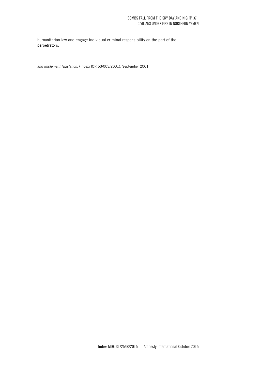humanitarian law and engage individual criminal responsibility on the part of the perpetrators.

*and implement legislation,* (Index: IOR 53/003/2001), September 2001.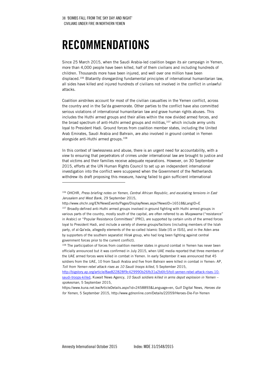l

## <span id="page-37-0"></span>**RECOMMENDATIONS**

Since 25 March 2015, when the Saudi Arabia-led coalition began its air campaign in Yemen, more than 4,000 people have been killed, half of them civilians and including hundreds of children. Thousands more have been injured, and well over one million have been displaced.<sup>106</sup> Blatantly disregarding fundamental principles of international humanitarian law, all sides have killed and injured hundreds of civilians not involved in the conflict in unlawful attacks.

Coalition airstrikes account for most of the civilian casualties in the Yemen conflict, across the country and in the Sa'da governorate. Other parties to the conflict have also committed serious violations of international humanitarian law and grave human rights abuses. This includes the Huthi armed groups and their allies within the now divided armed forces, and the broad spectrum of anti-Huthi armed groups and militias,<sup>107</sup> which include army units loyal to President Hadi. Ground forces from coalition member states, including the United Arab Emirates, Saudi Arabia and Bahrain, are also involved in ground combat in Yemen alongside anti-Huthi armed groups.<sup>108</sup>

In this context of lawlessness and abuse, there is an urgent need for accountability, with a view to ensuring that perpetrators of crimes under international law are brought to justice and that victims and their families receive adequate reparations. However, on 30 September 2015, efforts at the UN Human Rights Council to set up an independent international investigation into the conflict were scuppered when the Government of the Netherlands withdrew its draft proposing this measure, having failed to gain sufficient international

http://www.ohchr.org/EN/NewsEvents/Pages/DisplayNews.aspx?NewsID=16518&LangID=E <sup>107</sup> Broadly-defined anti-Huthi armed groups involved in ground fighting with Huthi armed groups in various parts of the country, mostly south of the capital, are often referred to as *Muqawama* ("resistance" in Arabic) or "Popular Resistance Committees" (PRC), are supported by certain units of the armed forces loyal to President Hadi, and include a variety of diverse groups/factions (including members of the Islah party, of al-Qa'eda, allegedly elements of the so-called Islamic State [IS or ISIS], and in the Aden area by supporters of the southern separatist *Hirak* group, who had long been fighting against central government forces prior to the current conflict).

<sup>108</sup> The participation of forces from coalition member states in ground combat in Yemen has never been officially announced but it was confirmed in July 2015, when UAE media reported that three members of the UAE armed forces were killed in combat in Yemen. In early September it was announced that 45 soldiers from the UAE, 10 from Saudi Arabia and five from Bahrain were killed in combat in Yemen: AP, *Toll from Yemen rebel attack rises as 10 Saudi troops killed,* 5 September 2015,

[http://bigstory.ap.org/article/8ae822828f9c429990b26fb31a2b6fc5/toll-yemen-rebel-attack-rises-10](http://bigstory.ap.org/article/8ae822828f9c429990b26fb31a2b6fc5/toll-yemen-rebel-attack-rises-10-saudi-troops-killed) [saudi-troops-killed,](http://bigstory.ap.org/article/8ae822828f9c429990b26fb31a2b6fc5/toll-yemen-rebel-attack-rises-10-saudi-troops-killed) Kuwait News Agency, *10 Saudi soldiers killed in arms depot explosion in Yemen – spokesman,* 5 September 2015,

https://www.kuna.net.kw/ArticleDetails.aspx?id=2458893&Language=en, Gulf Digital News, *Heroes die for Yemen,* 5 September 2015, http://www.gdnonline.com/Details/22059/Heroes-Die-For-Yemen

<sup>106</sup> OHCHR, *Press briefing notes on Yemen, Central African Republic, and escalating tensions in East Jerusalem and West Bank,* 29 September 2015,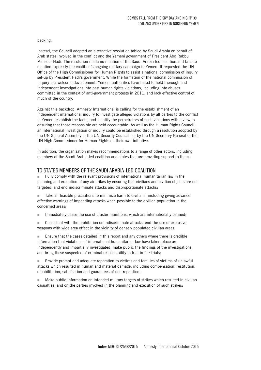#### backing.

Instead, the Council adopted an alternative resolution tabled by Saudi Arabia on behalf of Arab states involved in the conflict and the Yemeni government of President Abd Rabbu Mansour Hadi. The resolution made no mention of the Saudi Arabia-led coalition and fails to mention expressly the coalition's ongoing military campaign in Yemen. It requested the UN Office of the High Commissioner for Human Rights to assist a national commission of inquiry set-up by President Hadi's government. While the formation of the national commission of inquiry is a welcome development, Yemeni authorities have failed to hold thorough and independent investigations into past human rights violations, including into abuses committed in the context of anti-government protests in 2011, and lack effective control of much of the country.

Against this backdrop, Amnesty International is calling for the establishment of an independent international inquiry to investigate alleged violations by all parties to the conflict in Yemen, establish the facts, and identify the perpetrators of such violations with a view to ensuring that those responsible are held accountable. As well as the Human Rights Council, an international investigation or inquiry could be established through a resolution adopted by the UN General Assembly or the UN Security Council - or by the UN Secretary-General or the UN High Commissioner for Human Rights on their own initiative.

In addition, the organization makes recommendations to a range of other actors, including members of the Saudi Arabia-led coalition and states that are providing support to them.

### <span id="page-38-0"></span>TO STATES MEMBERS OF THE SAUDI ARABIA-LED COALITION

 $\blacksquare$  Fully comply with the relevant provisions of international humanitarian law in the planning and execution of any airstrikes by ensuring that civilians and civilian objects are not targeted; and end indiscriminate attacks and disproportionate attacks;

 $\blacksquare$  Take all feasible precautions to minimize harm to civilians, including giving advance effective warnings of impending attacks when possible to the civilian population in the concerned areas;

 $\blacksquare$  Immediately cease the use of cluster munitions, which are internationally banned;

■ Consistent with the prohibition on indiscriminate attacks, end the use of explosive weapons with wide area effect in the vicinity of densely populated civilian areas;

 Ensure that the cases detailed in this report and any others where there is credible information that violations of international humanitarian law have taken place are independently and impartially investigated, make public the findings of the investigations, and bring those suspected of criminal responsibility to trial in fair trials;

 Provide prompt and adequate reparation to victims and families of victims of unlawful attacks which resulted in human and material damage, including compensation, restitution, rehabilitation, satisfaction and guarantees of non-repetition;

 Make public information on intended military targets of strikes which resulted in civilian casualties, and on the parties involved in the planning and execution of such strikes;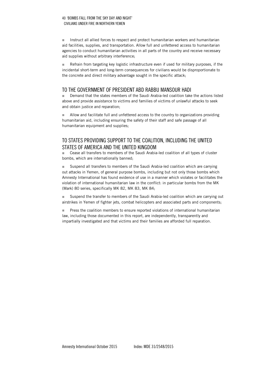Instruct all allied forces to respect and protect humanitarian workers and humanitarian aid facilities, supplies, and transportation. Allow full and unfettered access to humanitarian agencies to conduct humanitarian activities in all parts of the country and receive necessary aid supplies without arbitrary interference;

Refrain from targeting key logistic infrastructure even if used for military purposes, if the incidental short-term and long-term consequences for civilians would be disproportionate to the concrete and direct military advantage sought in the specific attack;

## <span id="page-39-0"></span>TO THE GOVERNMENT OF PRESIDENT ABD RABBU MANSOUR HADI

 Demand that the states members of the Saudi Arabia-led coalition take the actions listed above and provide assistance to victims and families of victims of unlawful attacks to seek and obtain justice and reparation;

**Allow and facilitate full and unfettered access to the country to organizations providing** humanitarian aid, including ensuring the safety of their staff and safe passage of all humanitarian equipment and supplies;

## <span id="page-39-1"></span>TO STATES PROVIDING SUPPORT TO THE COALITION, INCLUDING THE UNITED STATES OF AMERICA AND THE UNITED KINGDOM

 Cease all transfers to members of the Saudi Arabia-led coalition of all types of cluster bombs, which are internationally banned;

 Suspend all transfers to members of the Saudi Arabia-led coalition which are carrying out attacks in Yemen, of general purpose bombs, including but not only those bombs which Amnesty International has found evidence of use in a manner which violates or facilitates the violation of international humanitarian law in the conflict: in particular bombs from the MK (Mark) 80 series, specifically MK 82, MK 83, MK 84;

 Suspend the transfer to members of the Saudi Arabia-led coalition which are carrying out airstrikes in Yemen of fighter jets, combat helicopters and associated parts and components;

**Press the coalition members to ensure reported violations of international humanitarian** law, including those documented in this report, are independently, transparently and impartially investigated and that victims and their families are afforded full reparation.